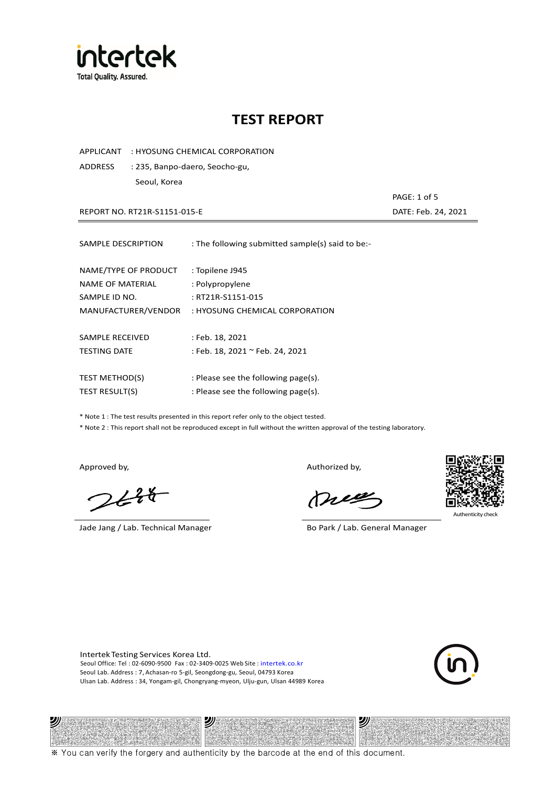

APPLICANT : HYOSUNG CHEMICAL CORPORATION

ADDRESS : 235, Banpo-daero, Seocho-gu, Seoul, Korea

REPORT NO. RT21R-S1151-015-E DATE: Feb. 24, 2021

| SAMPLE DESCRIPTION    | : The following submitted sample(s) said to be:- |
|-----------------------|--------------------------------------------------|
| NAME/TYPE OF PRODUCT  | : Topilene J945                                  |
| NAME OF MATERIAL      | : Polypropylene                                  |
| SAMPLE ID NO.         | : RT21R-S1151-015                                |
| MANUFACTURER/VENDOR   | : HYOSUNG CHEMICAL CORPORATION                   |
| SAMPLE RECEIVED       | : Feb. 18, 2021                                  |
| <b>TESTING DATE</b>   | : Feb. 18, 2021 ~ Feb. 24, 2021                  |
| <b>TEST METHOD(S)</b> | : Please see the following page(s).              |
| TEST RESULT(S)        | : Please see the following page(s).              |

\* Note 1 : The test results presented in this report refer only to the object tested.

\* Note 2 : This report shall not be reproduced except in full without the written approval of the testing laboratory.

沙

 $248$ 

Jade Jang / Lab. Technical Manager Bo Park / Lab. General Manager

Approved by, Authorized by, Authorized by,

mes



Authenticity check

沙

PAGE: 1 of 5

Intertek Testing Services Korea Ltd. Seoul Office: Tel : 02-6090-9500 Fax : 02-3409-0025 Web Site : intertek.co.kr Seoul Lab. Address : 7, Achasan-ro 5-gil, Seongdong-gu, Seoul, 04793 Korea Ulsan Lab. Address : 34, Yongam-gil, Chongryang-myeon, Ulju-gun, Ulsan 44989 Korea



※ You can verify the forgery and authenticity by the barcode at the end of this document.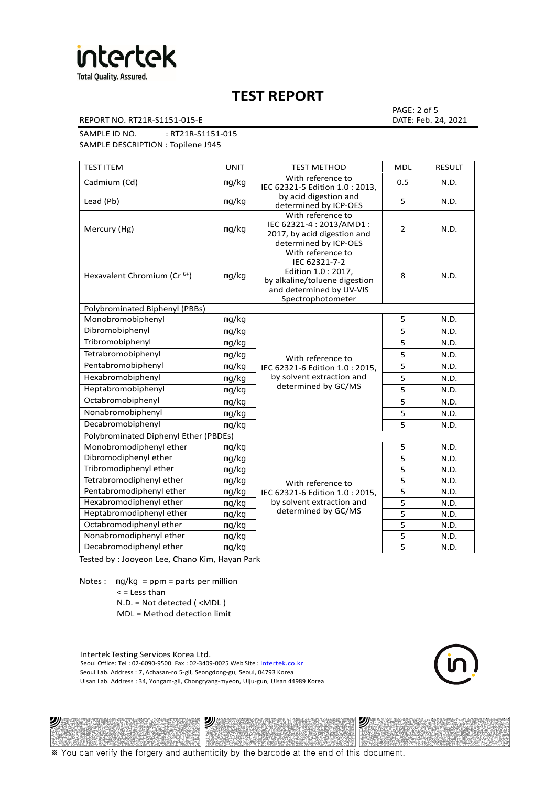

REPORT NO. RT21R-S1151-015-E DATE: Feb. 24, 2021

PAGE: 2 of 5

SAMPLE ID NO. : RT21R-S1151-015

SAMPLE DESCRIPTION : Topilene J945

| <b>TEST ITEM</b>                        | <b>UNIT</b> | <b>TEST METHOD</b>                                                                                                                          | <b>MDL</b> | <b>RESULT</b> |  |  |
|-----------------------------------------|-------------|---------------------------------------------------------------------------------------------------------------------------------------------|------------|---------------|--|--|
| Cadmium (Cd)                            | mg/kg       | With reference to<br>IEC 62321-5 Edition 1.0 : 2013.                                                                                        | 0.5        | N.D.          |  |  |
| Lead (Pb)                               | mg/kg       | by acid digestion and<br>determined by ICP-OES                                                                                              | 5          | N.D.          |  |  |
| Mercury (Hg)                            | mg/kg       | With reference to<br>IEC 62321-4: 2013/AMD1:<br>2017, by acid digestion and<br>determined by ICP-OES                                        | 2          | N.D.          |  |  |
| Hexavalent Chromium (Cr <sup>6+</sup> ) | mg/kg       | With reference to<br>IEC 62321-7-2<br>Edition 1.0 : 2017,<br>by alkaline/toluene digestion<br>and determined by UV-VIS<br>Spectrophotometer | 8          | N.D.          |  |  |
| Polybrominated Biphenyl (PBBs)          |             |                                                                                                                                             |            |               |  |  |
| Monobromobiphenyl                       | mg/kg       |                                                                                                                                             | 5          | N.D.          |  |  |
| Dibromobiphenyl                         | mg/kg       |                                                                                                                                             | 5          | N.D.          |  |  |
| Tribromobiphenyl                        | mg/kg       |                                                                                                                                             | 5          | N.D.          |  |  |
| Tetrabromobiphenyl                      | mg/kg       | With reference to<br>IEC 62321-6 Edition 1.0: 2015,                                                                                         | 5          | N.D.          |  |  |
| Pentabromobiphenyl                      | mg/kg       |                                                                                                                                             | 5          | N.D.          |  |  |
| Hexabromobiphenyl                       | mg/kg       | by solvent extraction and                                                                                                                   | 5          | N.D.          |  |  |
| Heptabromobiphenyl                      | mg/kg       | determined by GC/MS                                                                                                                         | 5          | N.D.          |  |  |
| Octabromobiphenyl                       | mg/kg       |                                                                                                                                             | 5          | N.D.          |  |  |
| Nonabromobiphenyl                       | mg/kg       |                                                                                                                                             | 5          | N.D.          |  |  |
| Decabromobiphenyl                       | mg/kg       |                                                                                                                                             | 5          | N.D.          |  |  |
| Polybrominated Diphenyl Ether (PBDEs)   |             |                                                                                                                                             |            |               |  |  |
| Monobromodiphenyl ether                 | mg/kg       |                                                                                                                                             | 5          | N.D.          |  |  |
| Dibromodiphenyl ether                   | mg/kg       |                                                                                                                                             | 5          | N.D.          |  |  |
| Tribromodiphenyl ether                  | mg/kg       |                                                                                                                                             | 5          | N.D.          |  |  |
| Tetrabromodiphenyl ether                | mg/kg       | With reference to                                                                                                                           | 5          | N.D.          |  |  |
| Pentabromodiphenyl ether                | mg/kg       | IEC 62321-6 Edition 1.0 : 2015,                                                                                                             | 5          | N.D.          |  |  |
| Hexabromodiphenyl ether                 | mq/kg       | by solvent extraction and                                                                                                                   | 5          | N.D.          |  |  |
| Heptabromodiphenyl ether                | mg/kg       | determined by GC/MS                                                                                                                         | 5          | N.D.          |  |  |
| Octabromodiphenyl ether                 | mg/kg       |                                                                                                                                             | 5          | N.D.          |  |  |
| Nonabromodiphenyl ether                 | mg/kg       |                                                                                                                                             | 5          | N.D.          |  |  |
| Decabromodiphenyl ether                 | mg/kg       |                                                                                                                                             | 5          | N.D.          |  |  |

Tested by : Jooyeon Lee, Chano Kim, Hayan Park

Notes : mg/kg = ppm = parts per million  $<$  = Less than N.D. = Not detected ( <MDL )

ツル

MDL = Method detection limit

Intertek Testing Services Korea Ltd. Seoul Office: Tel : 02-6090-9500 Fax : 02-3409-0025 Web Site : intertek.co.kr Seoul Lab. Address : 7, Achasan-ro 5-gil, Seongdong-gu, Seoul, 04793 Korea Ulsan Lab. Address : 34, Yongam-gil, Chongryang-myeon, Ulju-gun, Ulsan 44989 Korea

沙



沙

※ You can verify the forgery and authenticity by the barcode at the end of this document.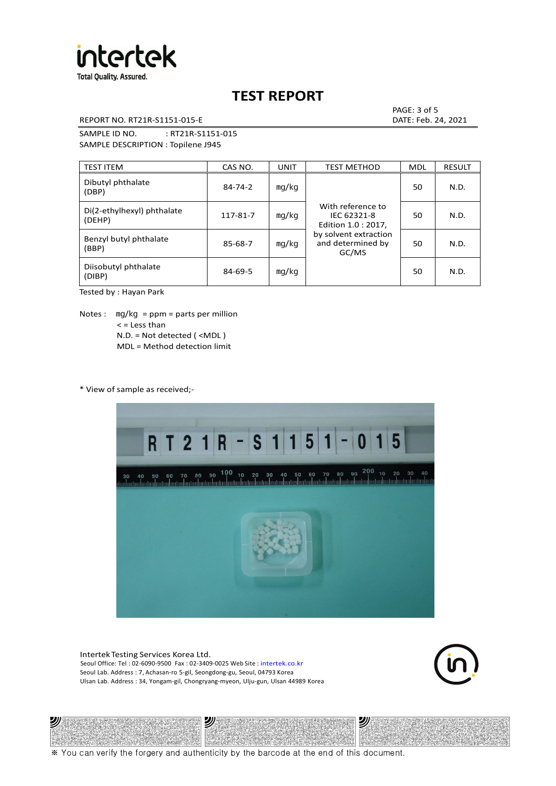

REPORT NO. RT21R-S1151-015-E DATE: Feb. 24, 2021

PAGE: 3 of 5

SAMPLE ID NO. : RT21R-S1151-015 SAMPLE DESCRIPTION : Topilene J945

| <b>TEST ITEM</b>                     | CAS NO.       | <b>UNIT</b> | <b>TEST METHOD</b>                                      | <b>MDL</b> | <b>RESULT</b> |
|--------------------------------------|---------------|-------------|---------------------------------------------------------|------------|---------------|
| Dibutyl phthalate<br>(DBP)           | $84 - 74 - 2$ | mq/kg       | With reference to<br>IEC 62321-8<br>Edition 1.0 : 2017, | 50         | N.D.          |
| Di(2-ethylhexyl) phthalate<br>(DEHP) | 117-81-7      | mg/kg       |                                                         | 50         | N.D.          |
| Benzyl butyl phthalate<br>(BBP)      | 85-68-7       | mg/kg       | by solvent extraction<br>and determined by<br>GC/MS     | 50         | N.D.          |
| Diisobutyl phthalate<br>(DIBP)       | $84 - 69 - 5$ | mg/kg       |                                                         | 50         | N.D.          |

Tested by : Hayan Park

Notes :  $mq/kg = ppm = parts per million$  $<$  = Less than N.D. = Not detected ( <MDL ) MDL = Method detection limit

\* View of sample as received;-



Intertek Testing Services Korea Ltd. Seoul Office: Tel : 02-6090-9500 Fax : 02-3409-0025 Web Site : intertek.co.kr Seoul Lab. Address : 7, Achasan-ro 5-gil, Seongdong-gu, Seoul, 04793 Korea Ulsan Lab. Address : 34, Yongam-gil, Chongryang-myeon, Ulju-gun, Ulsan 44989 Korea



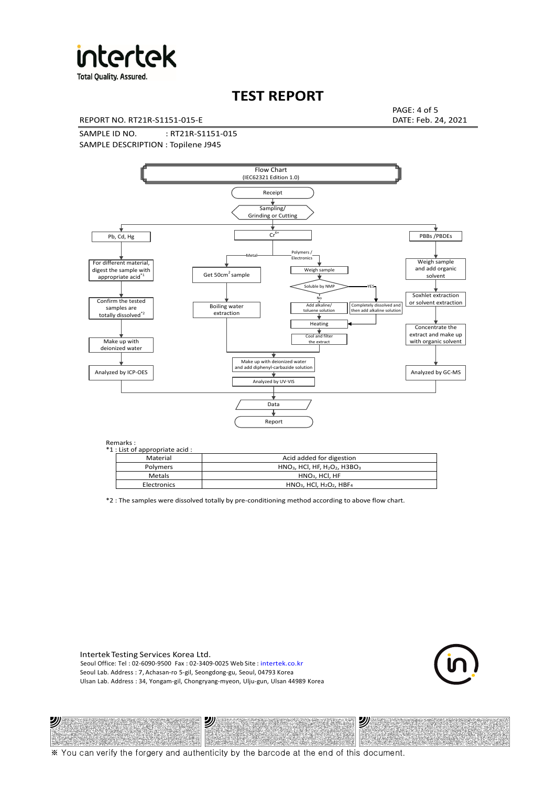

**Total Quality. Assured.** 

# **TEST REPORT**

REPORT NO. RT21R-S1151-015-E DATE: Feb. 24, 2021

PAGE: 4 of 5

SAMPLE ID NO. : RT21R-S1151-015 SAMPLE DESCRIPTION : Topilene J945



Remarks :

沙

| .<br>1 : List of appropriate acid : |               |                                                                     |  |  |  |  |
|-------------------------------------|---------------|---------------------------------------------------------------------|--|--|--|--|
|                                     | Material      | Acid added for digestion                                            |  |  |  |  |
|                                     | Polymers      | $HNO3$ , HCl, HF, H <sub>2</sub> O <sub>2</sub> , H3BO <sub>3</sub> |  |  |  |  |
|                                     | <b>Metals</b> | $HNO3$ , HCl, HF                                                    |  |  |  |  |
|                                     | Electronics   | $HNO3$ , HCl, H <sub>2</sub> O <sub>2</sub> , HBF <sub>4</sub>      |  |  |  |  |
|                                     |               |                                                                     |  |  |  |  |

\*2 : The samples were dissolved totally by pre-conditioning method according to above flow chart.

Intertek Testing Services Korea Ltd. Seoul Office: Tel : 02-6090-9500 Fax : 02-3409-0025 Web Site : intertek.co.kr Seoul Lab. Address : 7, Achasan-ro 5-gil, Seongdong-gu, Seoul, 04793 Korea Ulsan Lab. Address : 34, Yongam-gil, Chongryang-myeon, Ulju-gun, Ulsan 44989 Korea

沙



沙